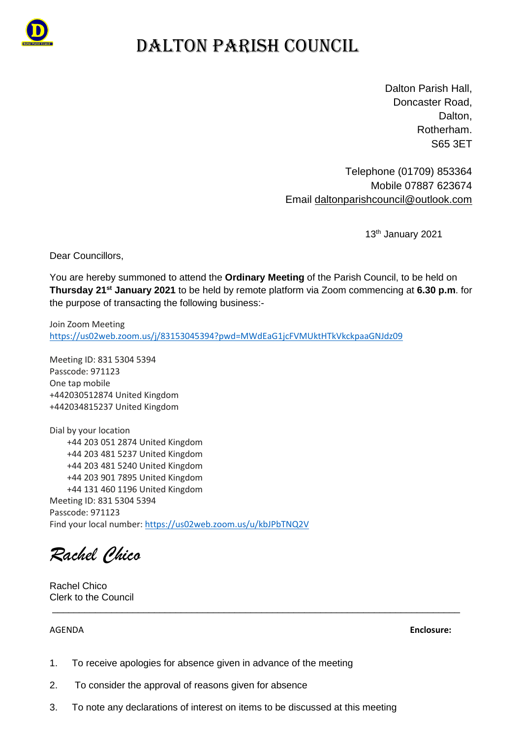

## DALTON PARISH COUNCIL

Dalton Parish Hall, Doncaster Road, Dalton, Rotherham. S65 3ET

Telephone (01709) 853364 Mobile 07887 623674 Email [daltonparishcouncil@outlook.com](mailto:daltonparishcouncil@outlook.com)

13<sup>th</sup> January 2021

Dear Councillors,

You are hereby summoned to attend the **Ordinary Meeting** of the Parish Council, to be held on **Thursday 21st January 2021** to be held by remote platform via Zoom commencing at **6.30 p.m**. for the purpose of transacting the following business:-

Join Zoom Meeting [https://us02web.zoom.us/j/83153045394?pwd=MWdEaG1jcFVMUktHTkVkckpaaGNJdz09](https://emea01.safelinks.protection.outlook.com/?url=https%3A%2F%2Fus02web.zoom.us%2Fj%2F83153045394%3Fpwd%3DMWdEaG1jcFVMUktHTkVkckpaaGNJdz09&data=04%7C01%7C%7C7cbccb956ab8419e6c7c08d8b6dbe304%7C84df9e7fe9f640afb435aaaaaaaaaaaa%7C1%7C0%7C637460402804984488%7CUnknown%7CTWFpbGZsb3d8eyJWIjoiMC4wLjAwMDAiLCJQIjoiV2luMzIiLCJBTiI6Ik1haWwiLCJXVCI6Mn0%3D%7C1000&sdata=DWTkMnxc6pfE3fhBrm1a8XOeruBNW1MA1i7Y7S46cm0%3D&reserved=0)

Meeting ID: 831 5304 5394 Passcode: 971123 One tap mobile +442030512874 United Kingdom +442034815237 United Kingdom

Dial by your location +44 203 051 2874 United Kingdom +44 203 481 5237 United Kingdom +44 203 481 5240 United Kingdom +44 203 901 7895 United Kingdom +44 131 460 1196 United Kingdom Meeting ID: 831 5304 5394 Passcode: 971123 Find your local number: [https://us02web.zoom.us/u/kbJPbTNQ2V](https://emea01.safelinks.protection.outlook.com/?url=https%3A%2F%2Fus02web.zoom.us%2Fu%2FkbJPbTNQ2V&data=04%7C01%7C%7C7cbccb956ab8419e6c7c08d8b6dbe304%7C84df9e7fe9f640afb435aaaaaaaaaaaa%7C1%7C0%7C637460402804994482%7CUnknown%7CTWFpbGZsb3d8eyJWIjoiMC4wLjAwMDAiLCJQIjoiV2luMzIiLCJBTiI6Ik1haWwiLCJXVCI6Mn0%3D%7C1000&sdata=hfnU9BEJc3FtcfzsFx6z%2FGv0NS0k3D7unfUpe7kJWvc%3D&reserved=0)

*Rachel Chico*

Rachel Chico Clerk to the Council

AGENDA **Enclosure:**

- 1. To receive apologies for absence given in advance of the meeting
- 2. To consider the approval of reasons given for absence
- 3. To note any declarations of interest on items to be discussed at this meeting

\_\_\_\_\_\_\_\_\_\_\_\_\_\_\_\_\_\_\_\_\_\_\_\_\_\_\_\_\_\_\_\_\_\_\_\_\_\_\_\_\_\_\_\_\_\_\_\_\_\_\_\_\_\_\_\_\_\_\_\_\_\_\_\_\_\_\_\_\_\_\_\_\_\_\_\_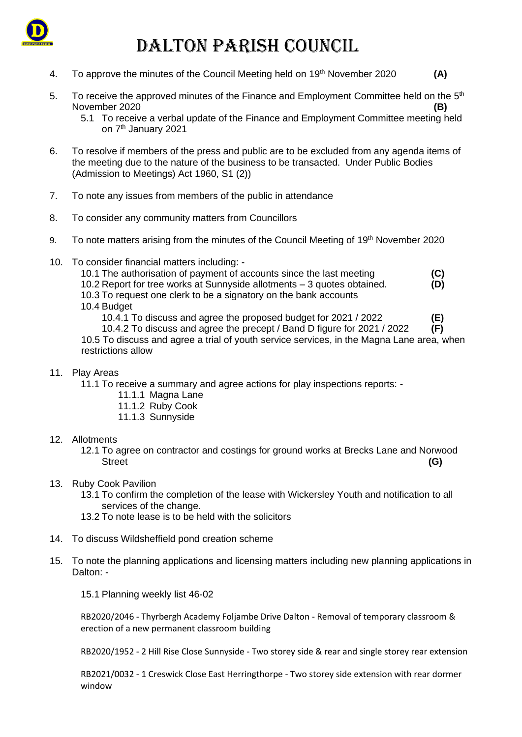

## DALTON PARISH COUNCIL

- 4. To approve the minutes of the Council Meeting held on 19<sup>th</sup> November 2020 (A)
- 5. To receive the approved minutes of the Finance and Employment Committee held on the  $5<sup>th</sup>$ November 2020 **(B)**
	- 5.1 To receive a verbal update of the Finance and Employment Committee meeting held on 7<sup>th</sup> January 2021
- 6. To resolve if members of the press and public are to be excluded from any agenda items of the meeting due to the nature of the business to be transacted. Under Public Bodies (Admission to Meetings) Act 1960, S1 (2))
- 7. To note any issues from members of the public in attendance
- 8. To consider any community matters from Councillors
- 9. To note matters arising from the minutes of the Council Meeting of 19<sup>th</sup> November 2020
- 10. To consider financial matters including:
	- 10.1 The authorisation of payment of accounts since the last meeting **(C)** 10.2 Report for tree works at Sunnyside allotments – 3 quotes obtained. **(D)** 10.3 To request one clerk to be a signatory on the bank accounts 10.4 Budget
	-

10.4.1 To discuss and agree the proposed budget for 2021 / 2022 **(E)**

10.4.2 To discuss and agree the precept / Band D figure for 2021 / 2022 **(F)** 10.5 To discuss and agree a trial of youth service services, in the Magna Lane area, when

restrictions allow

#### 11. Play Areas

- 11.1 To receive a summary and agree actions for play inspections reports:
	- 11.1.1 Magna Lane
	- 11.1.2 Ruby Cook
	- 11.1.3 Sunnyside

#### 12. Allotments

12.1 To agree on contractor and costings for ground works at Brecks Lane and Norwood Street **(G)** 

#### 13. Ruby Cook Pavilion

- 13.1 To confirm the completion of the lease with Wickersley Youth and notification to all services of the change.
- 13.2 To note lease is to be held with the solicitors
- 14. To discuss Wildsheffield pond creation scheme
- 15. To note the planning applications and licensing matters including new planning applications in Dalton: -

15.1 Planning weekly list 46-02

RB2020/2046 - Thyrbergh Academy Foljambe Drive Dalton - Removal of temporary classroom & erection of a new permanent classroom building

RB2020/1952 - 2 Hill Rise Close Sunnyside - Two storey side & rear and single storey rear extension

RB2021/0032 - 1 Creswick Close East Herringthorpe - Two storey side extension with rear dormer window